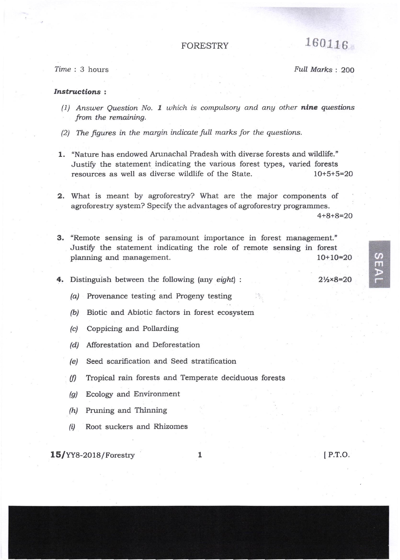## **FORESTRY**

Time: 3 hours

Full Marks: 200

160116

## **Instructions:**

- (1) Answer Question No. 1 which is compulsory and any other nine questions from the remaining.
- (2) The figures in the margin indicate full marks for the questions.
- 1. "Nature has endowed Arunachal Pradesh with diverse forests and wildlife." Justify the statement indicating the various forest types, varied forests resources as well as diverse wildlife of the State.  $10+5+5=20$

2. What is meant by agroforestry? What are the major components of agroforestry system? Specify the advantages of agroforestry programmes.  $4+8+8=20$ 

- 3. "Remote sensing is of paramount importance in forest management." Justify the statement indicating the role of remote sensing in forest planning and management.  $10+10=20$
- 4. Distinguish between the following (any eight) :

 $2\frac{1}{2} \times 8 = 20$ 

SEAI

- (a) Provenance testing and Progeny testing
- (b) Biotic and Abiotic factors in forest ecosystem
- (c) Coppicing and Pollarding
- (d) Afforestation and Deforestation
- Seed scarification and Seed stratification  $(e)$
- Tropical rain forests and Temperate deciduous forests  $(f)$
- $(g)$ Ecology and Environment
- (h) Pruning and Thinning
- Root suckers and Rhizomes  $(i)$

 $15/YY8-2018/Forestry$ 

 $\mathbf{1}$ 

[P.T.O.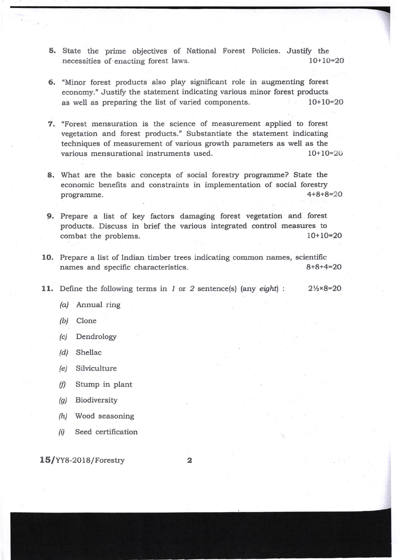5. State the prime objectives of National Forest Policies. Justify the necessities of enacting forest laws. 10+lo=2o =-

- 6. "Minor forest products also play significant role in augmenting forest economy." Justify the statement indicating various minor forest products as well as preparing the list of varied components. 10+10=20
- 7. "Forest mensuration is the science of measurement applied to forest vegetation and forest products." Substantiate the statement indicating techniques of measurement of various growth parameters as well as the various mensurational instruments used. 10+10=20
- 8. What are the basic concepts of social forestry programme? State the economic benefits and constraints in implementation of social forestry programme. 4+8+8=20
- 9. Prepare a list of key factors damaging forest vegetation and forest products. Discuss in brief the various integrated control measures to combat the problems. 10+10=20
- 10. Prepare a list of Indian timber trees indicating common names, scientific names and specific characteristics. 8+8+4=20
- 11. Define the following terms in  $1$  or  $2$  sentence(s) (any eight):  $2\frac{1}{2} \times 8 = 20$ 
	- (a/ Annual ring
	- (b) Clone
	- (c) Dendrology
	- /d/ Shellac
	- (e) Silviculture
	- $(h)$  Stump in plant
	- (g) Biodiversity
	- (h) Wood seasoning
	- $(i)$  Seed certification

 $15/YY8-2018/Forestry$  2